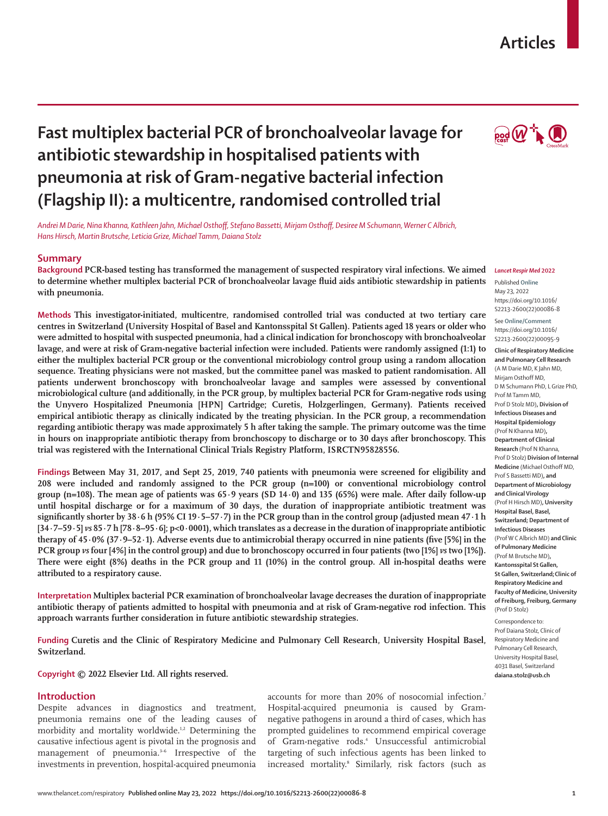# **Articles**



# **Fast multiplex bacterial PCR of bronchoalveolar lavage for antibiotic stewardship in hospitalised patients with pneumonia at risk of Gram-negative bacterial infection (Flagship II): a multicentre, randomised controlled trial**

*Andrei M Darie, Nina Khanna, Kathleen Jahn, Michael Osthoff, Stefano Bassetti, Mirjam Osthoff, Desiree M Schumann, Werner C Albrich, Hans Hirsch, Martin Brutsche, Leticia Grize, Michael Tamm, Daiana Stolz*

# **Summary**

**Background PCR-based testing has transformed the management of suspected respiratory viral infections. We aimed to determine whether multiplex bacterial PCR of bronchoalveolar lavage fluid aids antibiotic stewardship in patients with pneumonia.**

**Methods This investigator-initiated, multicentre, randomised controlled trial was conducted at two tertiary care centres in Switzerland (University Hospital of Basel and Kantonsspital St Gallen). Patients aged 18 years or older who were admitted to hospital with suspected pneumonia, had a clinical indication for bronchoscopy with bronchoalveolar lavage, and were at risk of Gram-negative bacterial infection were included. Patients were randomly assigned (1:1) to either the multiplex bacterial PCR group or the conventional microbiology control group using a random allocation sequence. Treating physicians were not masked, but the committee panel was masked to patient randomisation. All patients underwent bronchoscopy with bronchoalveolar lavage and samples were assessed by conventional microbiological culture (and additionally, in the PCR group, by multiplex bacterial PCR for Gram-negative rods using the Unyvero Hospitalized Pneumonia [HPN] Cartridge; Curetis, Holzgerlingen, Germany). Patients received empirical antibiotic therapy as clinically indicated by the treating physician. In the PCR group, a recommendation regarding antibiotic therapy was made approximately 5 h after taking the sample. The primary outcome was the time in hours on inappropriate antibiotic therapy from bronchoscopy to discharge or to 30 days after bronchoscopy. This trial was registered with the International Clinical Trials Registry Platform, ISRCTN95828556.**

**Findings Between May 31, 2017, and Sept 25, 2019, 740 patients with pneumonia were screened for eligibility and 208 were included and randomly assigned to the PCR group (n=100) or conventional microbiology control group (n=108). The mean age of patients was 65·9 years (SD 14·0) and 135 (65%) were male. After daily follow-up until hospital discharge or for a maximum of 30 days, the duration of inappropriate antibiotic treatment was significantly shorter by 38·6 h (95% CI 19·5–57·7) in the PCR group than in the control group (adjusted mean 47·1 h [34·7–59·5]** *vs* **85·7 h [78·8–95·6]; p<0·0001), which translates as a decrease in the duration of inappropriate antibiotic therapy of 45∙0% (37·9–52·1). Adverse events due to antimicrobial therapy occurred in nine patients (five [5%] in the PCR group** *vs* **four [4%] in the control group) and due to bronchoscopy occurred in four patients (two [1%]** *vs* **two [1%]). There were eight (8%) deaths in the PCR group and 11 (10%) in the control group. All in-hospital deaths were attributed to a respiratory cause.**

**Interpretation Multiplex bacterial PCR examination of bronchoalveolar lavage decreases the duration of inappropriate antibiotic therapy of patients admitted to hospital with pneumonia and at risk of Gram-negative rod infection. This approach warrants further consideration in future antibiotic stewardship strategies.**

**Funding Curetis and the Clinic of Respiratory Medicine and Pulmonary Cell Research, University Hospital Basel, Switzerland.**

**Copyright © 2022 Elsevier Ltd. All rights reserved.**

# **Introduction**

Despite advances in diagnostics and treatment, pneumonia remains one of the leading causes of morbidity and mortality worldwide.<sup>1,2</sup> Determining the causative infectious agent is pivotal in the prognosis and management of pneumonia.<sup>3-6</sup> Irrespective of the investments in prevention, hospital-acquired pneumonia accounts for more than 20% of nosocomial infection.<sup>7</sup> Hospital-acquired pneumonia is caused by Gramnegative pathogens in around a third of cases, which has prompted guidelines to recommend empirical coverage of Gram-negative rods.4 Unsuccessful antimicrobial targeting of such infectious agents has been linked to increased mortality.8 Similarly, risk factors (such as

### *Lancet Respir Med* **2022**

Published **Online** May 23, 2022 https://doi.org/10.1016/ S2213-2600(22)00086-8

See **Online/Comment** https://doi.org/10.1016/ S2213-2600(22)00095-9

**Clinic of Respiratory Medicine and Pulmonary Cell Research**  (A M Darie MD, K Jahn MD, Mirjam Osthoff MD, D M Schumann PhD, L Grize PhD, Prof M Tamm MD, Prof D Stolz MD)**, Division of Infectious Diseases and Hospital Epidemiology**  (Prof N Khanna MD)**, Department of Clinical Research** (Prof N Khanna, Prof D Stolz) **Division of Internal Medicine** (Michael Osthoff MD, Prof S Bassetti MD)**, and Department of Microbiology and Clinical Virology**  (Prof H Hirsch MD)**, University Hospital Basel, Basel, Switzerland; Department of Infectious Diseases**  (Prof W C Albrich MD) **and Clinic of Pulmonary Medicine**  (Prof M Brutsche MD)**, Kantonsspital St Gallen, St Gallen, Switzerland;Clinic of Respiratory Medicine and Faculty of Medicine, University of Freiburg, Freiburg, Germany**  (Prof D Stolz)

Correspondence to: Prof Daiana Stolz, Clinic of Respiratory Medicine and Pulmonary Cell Research, University Hospital Basel, 4031 Basel, Switzerland **daiana.stolz@usb.ch**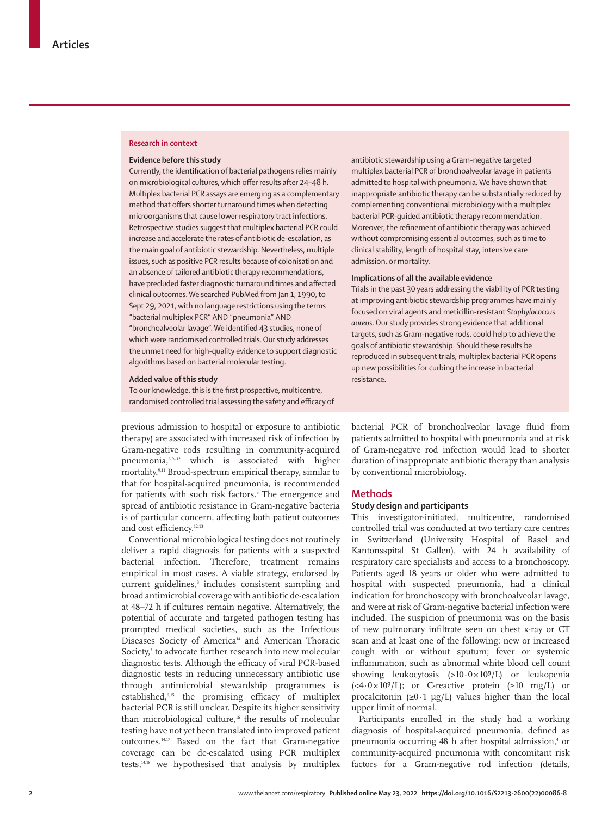### **Research in context**

### **Evidence before this study**

Currently, the identification of bacterial pathogens relies mainly on microbiological cultures, which offer results after 24–48 h. Multiplex bacterial PCR assays are emerging as a complementary method that offers shorter turnaround times when detecting microorganisms that cause lower respiratory tract infections. Retrospective studies suggest that multiplex bacterial PCR could increase and accelerate the rates of antibiotic de-escalation, as the main goal of antibiotic stewardship. Nevertheless, multiple issues, such as positive PCR results because of colonisation and an absence of tailored antibiotic therapy recommendations, have precluded faster diagnostic turnaround times and affected clinical outcomes. We searched PubMed from Jan 1, 1990, to Sept 29, 2021, with no language restrictions using the terms "bacterial multiplex PCR" AND "pneumonia" AND "bronchoalveolar lavage". We identified 43 studies, none of which were randomised controlled trials. Our study addresses the unmet need for high-quality evidence to support diagnostic algorithms based on bacterial molecular testing.

### **Added value of this study**

To our knowledge, this is the first prospective, multicentre, randomised controlled trial assessing the safety and efficacy of

previous admission to hospital or exposure to antibiotic therapy) are associated with increased risk of infection by Gram-negative rods resulting in community-acquired pneumonia,6,9–12 which is associated with higher mortality.9,11 Broad-spectrum empirical therapy, similar to that for hospital-acquired pneumonia, is recommended for patients with such risk factors.<sup>3</sup> The emergence and spread of antibiotic resistance in Gram-negative bacteria is of particular concern, affecting both patient outcomes and cost efficiency.12,13

Conventional microbiological testing does not routinely deliver a rapid diagnosis for patients with a suspected bacterial infection. Therefore, treatment remains empirical in most cases. A viable strategy, endorsed by current guidelines,<sup>3</sup> includes consistent sampling and broad antimicrobial coverage with antibiotic de-escalation at 48–72 h if cultures remain negative. Alternatively, the potential of accurate and targeted pathogen testing has prompted medical societies, such as the Infectious Diseases Society of America<sup>14</sup> and American Thoracic Society,<sup>3</sup> to advocate further research into new molecular diagnostic tests. Although the efficacy of viral PCR-based diagnostic tests in reducing unnecessary antibiotic use through antimicrobial stewardship programmes is established,6,15 the promising efficacy of multiplex bacterial PCR is still unclear. Despite its higher sensitivity than microbiological culture,<sup>16</sup> the results of molecular testing have not yet been translated into improved patient outcomes.14,17 Based on the fact that Gram-negative coverage can be de-escalated using PCR multiplex tests,14,18 we hypothesised that analysis by multiplex

antibiotic stewardship using a Gram-negative targeted multiplex bacterial PCR of bronchoalveolar lavage in patients admitted to hospital with pneumonia. We have shown that inappropriate antibiotic therapy can be substantially reduced by complementing conventional microbiology with a multiplex bacterial PCR-guided antibiotic therapy recommendation. Moreover, the refinement of antibiotic therapy was achieved without compromising essential outcomes, such as time to clinical stability, length of hospital stay, intensive care admission, or mortality.

# **Implications of all the available evidence**

Trials in the past 30 years addressing the viability of PCR testing at improving antibiotic stewardship programmes have mainly focused on viral agents and meticillin-resistant *Staphylococcus aureus*. Our study provides strong evidence that additional targets, such as Gram-negative rods, could help to achieve the goals of antibiotic stewardship. Should these results be reproduced in subsequent trials, multiplex bacterial PCR opens up new possibilities for curbing the increase in bacterial resistance.

bacterial PCR of bronchoalveolar lavage fluid from patients admitted to hospital with pneumonia and at risk of Gram-negative rod infection would lead to shorter duration of inappropriate antibiotic therapy than analysis by conventional microbiology.

# **Methods**

# **Study design and participants**

This investigator-initiated, multicentre, randomised controlled trial was conducted at two tertiary care centres in Switzerland (University Hospital of Basel and Kantonsspital St Gallen), with 24 h availability of respiratory care specialists and access to a bronchoscopy. Patients aged 18 years or older who were admitted to hospital with suspected pneumonia, had a clinical indication for bronchoscopy with bronchoalveolar lavage, and were at risk of Gram-negative bacterial infection were included. The suspicion of pneumonia was on the basis of new pulmonary infiltrate seen on chest x-ray or CT scan and at least one of the following: new or increased cough with or without sputum; fever or systemic inflammation, such as abnormal white blood cell count showing leukocytosis  $(>10.0 \times 10^{9}/L)$  or leukopenia  $( $4.0 \times 10^9$ /L)$ ; or C-reactive protein ( $\geq 10$  mg/L) or procalcitonin (≥0 $\cdot$ 1 µg/L) values higher than the local upper limit of normal.

Participants enrolled in the study had a working diagnosis of hospital-acquired pneumonia, defined as pneumonia occurring 48 h after hospital admission,<sup>4</sup> or community-acquired pneumonia with concomitant risk factors for a Gram-negative rod infection (details,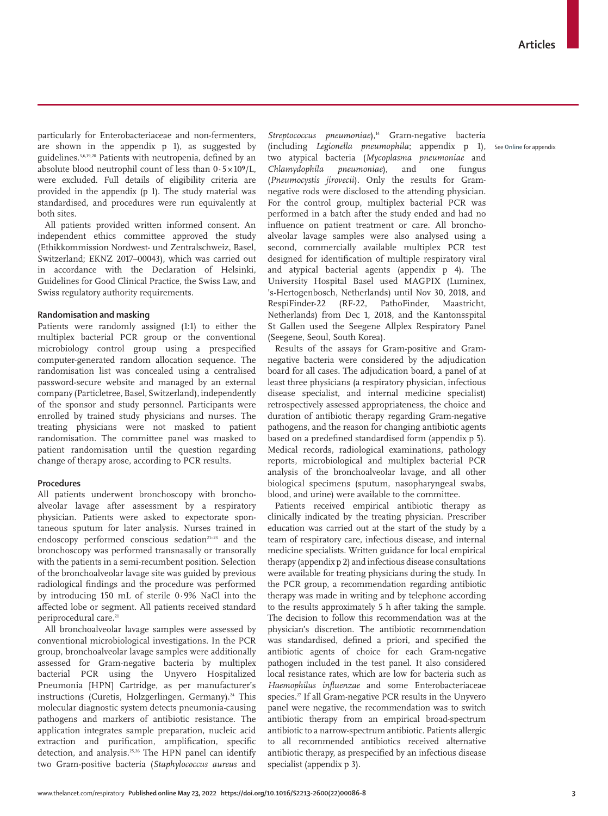particularly for Enterobacteriaceae and non-fermenters, are shown in the appendix p 1), as suggested by guidelines.3,6,19,20 Patients with neutropenia, defined by an absolute blood neutrophil count of less than  $0.5 \times 10^9$ /L, were excluded. Full details of eligibility criteria are provided in the appendix (p 1). The study material was standardised, and procedures were run equivalently at both sites.

All patients provided written informed consent. An independent ethics committee approved the study (Ethikkommission Nordwest- und Zentralschweiz, Basel, Switzerland; EKNZ 2017–00043), which was carried out in accordance with the Declaration of Helsinki, Guidelines for Good Clinical Practice, the Swiss Law, and Swiss regulatory authority requirements.

# **Randomisation and masking**

Patients were randomly assigned (1:1) to either the multiplex bacterial PCR group or the conventional microbiology control group using a prespecified computer-generated random allocation sequence. The randomisation list was concealed using a centralised password-secure website and managed by an external company (Particletree, Basel, Switzerland), independently of the sponsor and study personnel. Participants were enrolled by trained study physicians and nurses. The treating physicians were not masked to patient randomisation. The committee panel was masked to patient randomisation until the question regarding change of therapy arose, according to PCR results.

# **Procedures**

All patients underwent bronchoscopy with bronchoalveolar lavage after assessment by a respiratory physician. Patients were asked to expectorate spontaneous sputum for later analysis. Nurses trained in endoscopy performed conscious sedation<sup>21-23</sup> and the bronchoscopy was performed transnasally or transorally with the patients in a semi-recumbent position. Selection of the bronchoalveolar lavage site was guided by previous radiological findings and the procedure was performed by introducing 150 mL of sterile 0·9% NaCl into the affected lobe or segment. All patients received standard periprocedural care.<sup>21</sup>

All bronchoalveolar lavage samples were assessed by conventional microbiological investigations. In the PCR group, bronchoalveolar lavage samples were additionally assessed for Gram-negative bacteria by multiplex bacterial PCR using the Unyvero Hospitalized Pneumonia [HPN] Cartridge, as per manufacturer's instructions (Curetis, Holzgerlingen, Germany).<sup>24</sup> This molecular diagnostic system detects pneumonia-causing pathogens and markers of antibiotic resistance. The application integrates sample preparation, nucleic acid extraction and purification, amplification, specific detection, and analysis.<sup>25,26</sup> The HPN panel can identify two Gram-positive bacteria (*Staphylococcus aureus* and Streptococcus pneumoniae),<sup>14</sup> Gram-negative bacteria (including *Legionella pneumophila*; appendix p 1), See **Online** for appendixtwo atypical bacteria (*Mycoplasma pneumoniae* and *Chlamydophila pneumoniae*), and one fungus (*Pneumocystis jirovecii*). Only the results for Gramnegative rods were disclosed to the attending physician. For the control group, multiplex bacterial PCR was performed in a batch after the study ended and had no influence on patient treatment or care. All bronchoalveolar lavage samples were also analysed using a second, commercially available multiplex PCR test designed for identification of multiple respiratory viral and atypical bacterial agents (appendix p 4). The University Hospital Basel used MAGPIX (Luminex, 's-Hertogenbosch, Netherlands) until Nov 30, 2018, and RespiFinder-22 (RF-22, PathoFinder, Maastricht, Netherlands) from Dec 1, 2018, and the Kantonsspital St Gallen used the Seegene Allplex Respiratory Panel (Seegene, Seoul, South Korea).

Results of the assays for Gram-positive and Gramnegative bacteria were considered by the adjudication board for all cases. The adjudication board, a panel of at least three physicians (a respiratory physician, infectious disease specialist, and internal medicine specialist) retrospectively assessed appropriateness, the choice and duration of antibiotic therapy regarding Gram-negative pathogens, and the reason for changing antibiotic agents based on a predefined standardised form (appendix p 5). Medical records, radiological examinations, pathology reports, microbiological and multiplex bacterial PCR analysis of the bronchoalveolar lavage, and all other biological specimens (sputum, nasopharyngeal swabs, blood, and urine) were available to the committee.

Patients received empirical antibiotic therapy as clinically indicated by the treating physician. Prescriber education was carried out at the start of the study by a team of respiratory care, infectious disease, and internal medicine specialists. Written guidance for local empirical therapy (appendix p 2) and infectious disease consultations were available for treating physicians during the study. In the PCR group, a recommendation regarding antibiotic therapy was made in writing and by telephone according to the results approximately 5 h after taking the sample. The decision to follow this recommendation was at the physician's discretion. The antibiotic recommendation was standardised, defined a priori, and specified the antibiotic agents of choice for each Gram-negative pathogen included in the test panel. It also considered local resistance rates, which are low for bacteria such as *Haemophilus influenzae* and some Enterobacteriaceae species.<sup>27</sup> If all Gram-negative PCR results in the Unyvero panel were negative, the recommendation was to switch antibiotic therapy from an empirical broad-spectrum antibiotic to a narrow-spectrum antibiotic. Patients allergic to all recommended antibiotics received alternative antibiotic therapy, as prespecified by an infectious disease specialist (appendix p 3).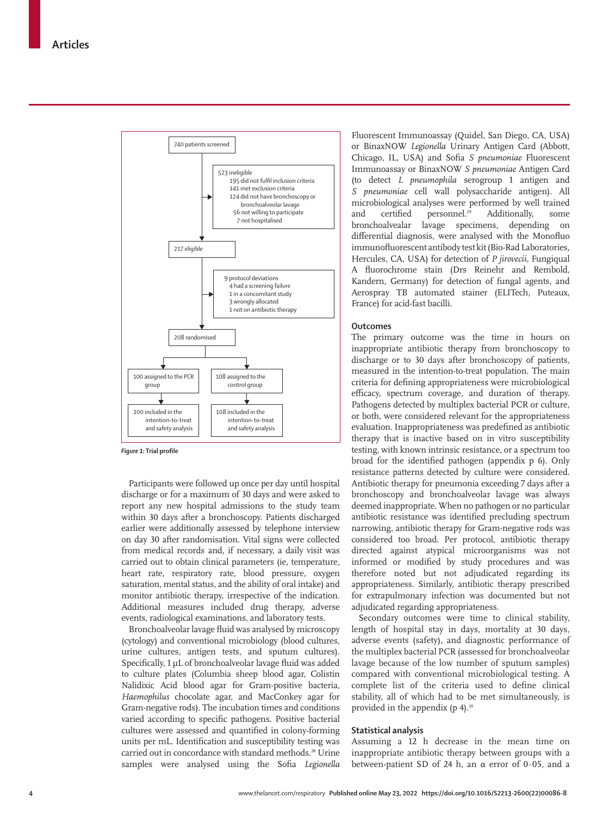

*Figure 1:* **Trial profile**

Participants were followed up once per day until hospital discharge or for a maximum of 30 days and were asked to report any new hospital admissions to the study team within 30 days after a bronchoscopy. Patients discharged earlier were additionally assessed by telephone interview on day 30 after randomisation. Vital signs were collected from medical records and, if necessary, a daily visit was carried out to obtain clinical parameters (ie, temperature, heart rate, respiratory rate, blood pressure, oxygen saturation, mental status, and the ability of oral intake) and monitor antibiotic therapy, irrespective of the indication. Additional measures included drug therapy, adverse events, radiological examinations, and laboratory tests.

Bronchoalveolar lavage fluid was analysed by microscopy (cytology) and conventional microbiology (blood cultures, urine cultures, antigen tests, and sputum cultures). Specifically, 1 μL of bronchoalveolar lavage fluid was added to culture plates (Columbia sheep blood agar, Colistin Nalidixic Acid blood agar for Gram-positive bacteria, *Haemophilus* chocolate agar, and MacConkey agar for Gram-negative rods). The incubation times and conditions varied according to specific pathogens. Positive bacterial cultures were assessed and quantified in colony-forming units per mL. Identification and susceptibility testing was carried out in concordance with standard methods.<sup>28</sup> Urine samples were analysed using the Sofia *Legionella*

Fluorescent Immunoassay (Quidel, San Diego, CA, USA) or BinaxNOW *Legionella* Urinary Antigen Card (Abbott, Chicago, IL, USA) and Sofia *S pneumoniae* Fluorescent Immunoassay or BinaxNOW *S pneumoniae* Antigen Card (to detect *L pneumophila* serogroup 1 antigen and *S pneumoniae* cell wall polysaccharide antigen). All microbiological analyses were performed by well trained<br>and certified personnel.<sup>29</sup> Additionally, some and certified personnel.<sup>29</sup> Additionally, some bronchoalvealar lavage specimens, depending on differential diagnosis, were analysed with the Monofluo immunofluorescent antibody test kit (Bio-Rad Laboratories, Hercules, CA, USA) for detection of *P jirovecii*, Fungiqual A fluorochrome stain (Drs Reinehr and Rembold, Kandern, Germany) for detection of fungal agents, and Aerospray TB automated stainer (ELITech, Puteaux, France) for acid-fast bacilli.

# **Outcomes**

The primary outcome was the time in hours on inappropriate antibiotic therapy from bronchoscopy to discharge or to 30 days after bronchoscopy of patients, measured in the intention-to-treat population. The main criteria for defining appropriateness were microbiological efficacy, spectrum coverage, and duration of therapy. Pathogens detected by multiplex bacterial PCR or culture, or both, were considered relevant for the appropriateness evaluation. Inappropriateness was predefined as antibiotic therapy that is inactive based on in vitro susceptibility testing, with known intrinsic resistance, or a spectrum too broad for the identified pathogen (appendix p 6). Only resistance patterns detected by culture were considered. Antibiotic therapy for pneumonia exceeding 7 days after a bronchoscopy and bronchoalveolar lavage was always deemed inappropriate. When no pathogen or no particular antibiotic resistance was identified precluding spectrum narrowing, antibiotic therapy for Gram-negative rods was considered too broad. Per protocol, antibiotic therapy directed against atypical microorganisms was not informed or modified by study procedures and was therefore noted but not adjudicated regarding its appropriateness. Similarly, antibiotic therapy prescribed for extrapulmonary infection was documented but not adjudicated regarding appropriateness.

Secondary outcomes were time to clinical stability, length of hospital stay in days, mortality at 30 days, adverse events (safety), and diagnostic performance of the multiplex bacterial PCR (assessed for bronchoalveolar lavage because of the low number of sputum samples) compared with conventional microbiological testing. A complete list of the criteria used to define clinical stability, all of which had to be met simultaneously, is provided in the appendix  $(p 4)$ .<sup>19</sup>

# **Statistical analysis**

Assuming a 12 h decrease in the mean time on inappropriate antibiotic therapy between groups with a between-patient SD of 24 h, an  $\alpha$  error of 0.05, and a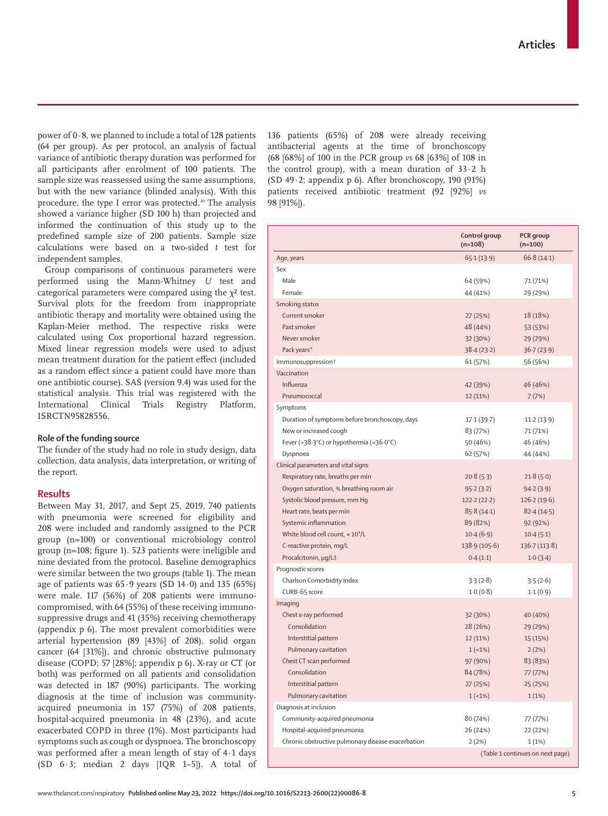power of 0·8, we planned to include a total of 128 patients (64 per group). As per protocol, an analysis of factual variance of antibiotic therapy duration was performed for all participants after enrolment of 100 patients. The sample size was reassessed using the same assumptions, but with the new variance (blinded analysis). With this procedure, the type I error was protected.<sup>30</sup> The analysis showed a variance higher (SD 100 h) than projected and informed the continuation of this study up to the predefined sample size of 200 patients. Sample size calculations were based on a two-sided *t* test for independent samples.

Group comparisons of continuous parameters were performed using the Mann-Whitney *U* test and categorical parameters were compared using the  $\chi^2$  test. Survival plots for the freedom from inappropriate antibiotic therapy and mortality were obtained using the Kaplan-Meier method. The respective risks were calculated using Cox proportional hazard regression. Mixed linear regression models were used to adjust mean treatment duration for the patient effect (included as a random effect since a patient could have more than one antibiotic course). SAS (version 9.4) was used for the statistical analysis. This trial was registered with the International Clinical Trials Registry Platform, ISRCTN95828556.

# **Role of the funding source**

The funder of the study had no role in study design, data collection, data analysis, data interpretation, or writing of the report.

### **Results**

Between May 31, 2017, and Sept 25, 2019, 740 patients with pneumonia were screened for eligibility and 208 were included and randomly assigned to the PCR group (n=100) or conventional microbiology control group (n=108; figure 1). 523 patients were ineligible and nine deviated from the protocol. Baseline demographics were similar between the two groups (table 1). The mean age of patients was  $65.9$  years (SD  $14.0$ ) and  $135$  (65%) were male. 117 (56%) of 208 patients were immunocompromised, with 64 (55%) of these receiving immunosuppressive drugs and 41 (35%) receiving chemotherapy (appendix p 6). The most prevalent comorbidities were arterial hypertension (89 [43%] of 208), solid organ cancer (64 [31%]), and chronic obstructive pulmonary disease (COPD; 57 [28%]; appendix p 6). X-ray or CT (or both) was performed on all patients and consolidation was detected in 187 (90%) participants. The working diagnosis at the time of inclusion was communityacquired pneumonia in 157 (75%) of 208 patients, hospital-acquired pneumonia in 48 (23%), and acute exacerbated COPD in three (1%). Most participants had symptoms such as cough or dyspnoea. The bronchoscopy was performed after a mean length of stay of 4·1 days (SD 6·3; median 2 days [IQR 1–5]). A total of

136 patients (65%) of 208 were already receiving antibacterial agents at the time of bronchoscopy (68 [68%] of 100 in the PCR group *vs* 68 [63%] of 108 in the control group), with a mean duration of  $33.2$  h (SD 49·2; appendix p 6). After bronchoscopy, 190 (91%) patients received antibiotic treatment (92 [92%] *vs* 98 [91%]).

|                                                    | Control group<br>$(n=108)$ | PCR group<br>$(n=100)$           |
|----------------------------------------------------|----------------------------|----------------------------------|
| Age, years                                         | 65.1(13.9)                 | 66.8(14.1)                       |
| Sex                                                |                            |                                  |
| Male                                               | 64 (59%)                   | 71 (71%)                         |
| Female                                             | 44 (41%)                   | 29 (29%)                         |
| Smoking status                                     |                            |                                  |
| Current smoker                                     | 27 (25%)                   | 18 (18%)                         |
| Past smoker                                        | 48 (44%)                   | 53 (53%)                         |
| Never smoker                                       | 32 (30%)                   | 29 (29%)                         |
| Pack years*                                        | 38.4(23.2)                 | 36.7(23.9)                       |
| Immunosuppression <sup>+</sup>                     | 61 (57%)                   | 56 (56%)                         |
| Vaccination                                        |                            |                                  |
| Influenza                                          | 42 (39%)                   | 46 (46%)                         |
| Pneumococcal                                       | 12 (11%)                   | 7(7%)                            |
| Symptoms                                           |                            |                                  |
| Duration of symptoms before bronchoscopy, days     | 17.1(39.7)                 | 11.2(13.9)                       |
| New or increased cough                             | 83 (77%)                   | 71 (71%)                         |
| Fever (>38.3°C) or hypothermia (<36.0°C)           | 50 (46%)                   | 46 (46%)                         |
| Dyspnoea                                           | 62 (57%)                   | 44 (44%)                         |
| Clinical parameters and vital signs                |                            |                                  |
| Respiratory rate, breaths per min                  | 20.8(5.3)                  | 21.8(5.0)                        |
| Oxygen saturation, % breathing room air            | 95.2(3.2)                  | 94.2(3.9)                        |
| Systolic blood pressure, mm Hg                     | 122.2(22.2)                | 126.2(19.6)                      |
| Heart rate, beats per min                          | 85.8(14.1)                 | 82.4(14.5)                       |
| Systemic inflammation                              | 89 (82%)                   | 92 (92%)                         |
| White blood cell count, $\times 10^9$ /L           | 10.4(6.9)                  | 10.4(5.1)                        |
| C-reactive protein, mg/L                           | 138.9 (105.6)              | 136.7 (113.8)                    |
| Procalcitonin, µg/L‡                               | 0.4(1.1)                   | 1.0(3.4)                         |
| Prognostic scores                                  |                            |                                  |
| Charlson Comorbidity Index                         | 3.3(2.8)                   | 3.5(2.6)                         |
| CURB-65 score                                      | 1.0(0.8)                   | 1.1(0.9)                         |
| Imaging                                            |                            |                                  |
| Chest x-ray performed                              | 32 (30%)                   | 40 (40%)                         |
| Consolidation                                      | 28 (26%)                   | 29 (29%)                         |
| Interstitial pattern                               | 12 (11%)                   | 15 (15%)                         |
| Pulmonary cavitation                               | $1(-1%)$                   | 2(2%)                            |
| Chest CT scan performed                            | 97 (90%)                   | 83 (83%)                         |
| Consolidation                                      | 84 (78%)                   | 77 (77%)                         |
| Interstitial pattern                               | 27 (25%)                   | 25 (25%)                         |
| Pulmonary cavitation                               | $1(-1%)$                   | 1(1%)                            |
| Diagnosis at inclusion                             |                            |                                  |
| Community-acquired pneumonia                       | 80 (74%)                   | 77 (77%)                         |
| Hospital-acquired pneumonia                        | 26 (24%)                   | 22 (22%)                         |
| Chronic obstructive pulmonary disease exacerbation | 2(2%)                      | 1(1%)                            |
|                                                    |                            | (Table 1 continues on next page) |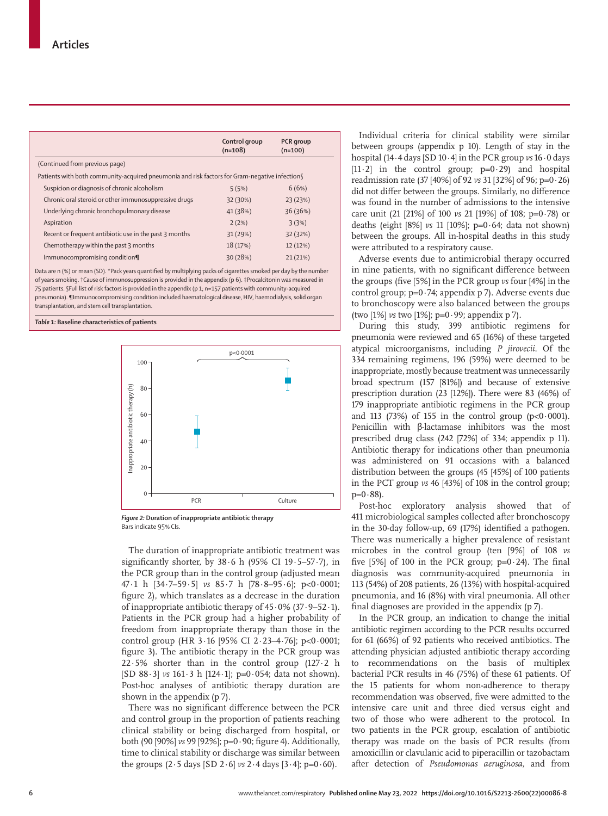|                                                                                                | Control group<br>$(n=108)$ | PCR group<br>$(n=100)$ |
|------------------------------------------------------------------------------------------------|----------------------------|------------------------|
| (Continued from previous page)                                                                 |                            |                        |
| Patients with both community-acquired pneumonia and risk factors for Gram-negative infection § |                            |                        |
| Suspicion or diagnosis of chronic alcoholism                                                   | 5(5%)                      | 6(6%)                  |
| Chronic oral steroid or other immunosuppressive drugs                                          | 32 (30%)                   | 23 (23%)               |
| Underlying chronic bronchopulmonary disease                                                    | 41 (38%)                   | 36 (36%)               |
| Aspiration                                                                                     | 2(2%)                      | 3(3%)                  |
| Recent or frequent antibiotic use in the past 3 months                                         | 31 (29%)                   | 32 (32%)               |
| Chemotherapy within the past 3 months                                                          | 18 (17%)                   | 12 (12%)               |
| Immunocompromising condition¶                                                                  | 30 (28%)                   | 21(21%)                |
|                                                                                                |                            |                        |

Data are n (%) or mean (SD). \*Pack years quantified by multiplying packs of cigarettes smoked per day by the numbe of years smoking. †Cause of immunosuppression is provided in the appendix (p 6). ‡Procalcitonin was measured in 75 patients. §Full list of risk factors is provided in the appendix (p 1; n=157 patients with community-acquired pneumonia). ¶Immunocompromising condition included haematological disease, HIV, haemodialysis, solid organ transplantation, and stem cell transplantation.

*Table 1:* **Baseline characteristics of patients**



*Figure 2:* **Duration of inappropriate antibiotic therapy** Bars indicate 95% CIs.

The duration of inappropriate antibiotic treatment was significantly shorter, by  $38.6$  h (95% CI 19 $-5-57.7$ ), in the PCR group than in the control group (adjusted mean 47·1 h [34·7–59·5] *vs* 85·7 h [78·8–95·6]; p<0·0001; figure 2), which translates as a decrease in the duration of inappropriate antibiotic therapy of 45∙0% (37·9–52·1). Patients in the PCR group had a higher probability of freedom from inappropriate therapy than those in the control group (HR 3·16 [95% CI 2·23–4·76]; p<0·0001; figure 3). The antibiotic therapy in the PCR group was 22·5% shorter than in the control group (127·2 h [SD 88·3] *vs* 161·3 h [124·1]; p=0·054; data not shown). Post-hoc analyses of antibiotic therapy duration are shown in the appendix (p 7).

There was no significant difference between the PCR and control group in the proportion of patients reaching clinical stability or being discharged from hospital, or both (90 [90%] *vs* 99 [92%]; p=0·90; figure 4). Additionally, time to clinical stability or discharge was similar between the groups  $(2.5 \text{ days}$  [SD  $2.6$ ] *vs*  $2.4 \text{ days}$  [ $3.4$ ]; p=0.60).

Individual criteria for clinical stability were similar between groups (appendix p 10). Length of stay in the hospital (14·4 days [SD 10·4] in the PCR group *vs* 16·0 days [11.2] in the control group;  $p=0.29$ ) and hospital readmission rate (37 [40%] of 92 *vs* 31 [32%] of 96; p=0·26) did not differ between the groups. Similarly, no difference was found in the number of admissions to the intensive care unit (21 [21%] of 100 *vs* 21 [19%] of 108; p=0·78) or deaths (eight [8%] *vs* 11 [10%]; p=0·64; data not shown) between the groups. All in-hospital deaths in this study were attributed to a respiratory cause.

Adverse events due to antimicrobial therapy occurred in nine patients, with no significant difference between the groups (five [5%] in the PCR group *vs* four [4%] in the control group; p=0·74; appendix p 7). Adverse events due to bronchoscopy were also balanced between the groups (two [1%] *vs* two [1%]; p=0·99; appendix p 7).

During this study, 399 antibiotic regimens for pneumonia were reviewed and 65 (16%) of these targeted atypical microorganisms, including *P jirovecii*. Of the 334 remaining regimens, 196 (59%) were deemed to be inappropriate, mostly because treatment was unnecessarily broad spectrum (157 [81%]) and because of extensive prescription duration (23 [12%]). There were 83 (46%) of 179 inappropriate antibiotic regimens in the PCR group and 113 (73%) of 155 in the control group ( $p<0.0001$ ). Penicillin with β-lactamase inhibitors was the most prescribed drug class (242 [72%] of 334; appendix p 11). Antibiotic therapy for indications other than pneumonia was administered on 91 occasions with a balanced distribution between the groups (45 [45%] of 100 patients in the PCT group *vs* 46 [43%] of 108 in the control group;  $p=0.88$ ).

Post-hoc exploratory analysis showed that of 411 microbiological samples collected after bronchoscopy in the 30-day follow-up, 69 (17%) identified a pathogen. There was numerically a higher prevalence of resistant microbes in the control group (ten [9%] of 108 *vs* five  $[5\%]$  of 100 in the PCR group;  $p=0.24$ ). The final diagnosis was community-acquired pneumonia in 113 (54%) of 208 patients, 26 (13%) with hospital-acquired pneumonia, and 16 (8%) with viral pneumonia. All other final diagnoses are provided in the appendix (p 7).

In the PCR group, an indication to change the initial antibiotic regimen according to the PCR results occurred for 61 (66%) of 92 patients who received antibiotics. The attending physician adjusted antibiotic therapy according to recommendations on the basis of multiplex bacterial PCR results in 46 (75%) of these 61 patients. Of the 15 patients for whom non-adherence to therapy recommendation was observed, five were admitted to the intensive care unit and three died versus eight and two of those who were adherent to the protocol. In two patients in the PCR group, escalation of antibiotic therapy was made on the basis of PCR results (from amoxicillin or clavulanic acid to piperacillin or tazobactam after detection of *Pseudomonas aeruginosa,* and from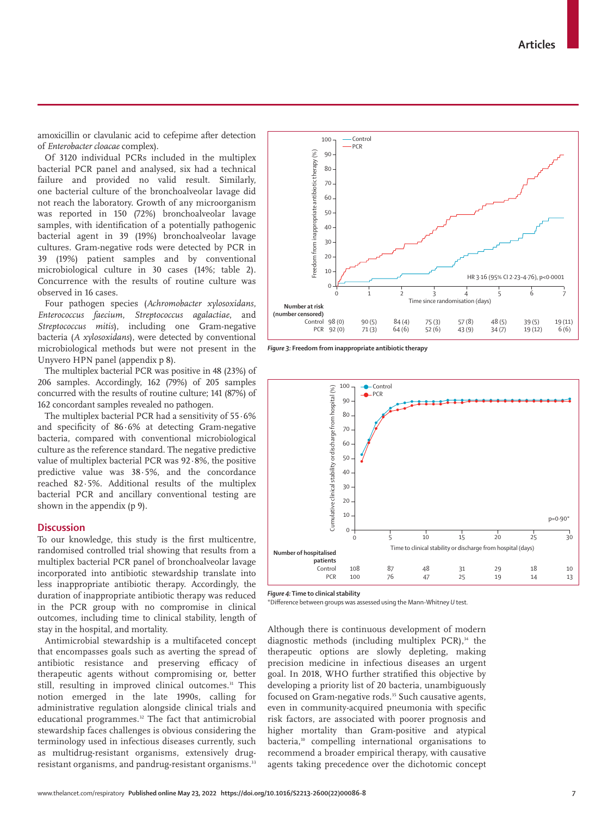www.thelancet.com/respiratory **Published online May 23, 2022 https://doi.org/10.1016/S2213-2600(22)00086-8 7**

amoxicillin or clavulanic acid to cefepime after detection of *Enterobacter cloacae* complex).

Of 3120 individual PCRs included in the multiplex bacterial PCR panel and analysed, six had a technical failure and provided no valid result. Similarly, one bacterial culture of the bronchoalveolar lavage did not reach the laboratory. Growth of any microorganism was reported in 150 (72%) bronchoalveolar lavage samples, with identification of a potentially pathogenic bacterial agent in 39 (19%) bronchoalveolar lavage cultures. Gram-negative rods were detected by PCR in 39 (19%) patient samples and by conventional microbiological culture in 30 cases (14%; table 2). Concurrence with the results of routine culture was observed in 16 cases.

Four pathogen species (*Achromobacter xylosoxidans*, *Enterococcus faecium*, *Streptococcus agalactiae*, and *Streptococcus mitis*), including one Gram-negative bacteria (*A xylosoxidans*), were detected by conventional microbiological methods but were not present in the Unyvero HPN panel (appendix p 8).

The multiplex bacterial PCR was positive in 48 (23%) of 206 samples. Accordingly, 162 (79%) of 205 samples concurred with the results of routine culture; 141 (87%) of 162 concordant samples revealed no pathogen.

The multiplex bacterial PCR had a sensitivity of 55·6% and specificity of 86·6% at detecting Gram-negative bacteria, compared with conventional microbiological culture as the reference standard. The negative predictive value of multiplex bacterial PCR was 92·8%, the positive predictive value was 38·5%, and the concordance reached 82·5%. Additional results of the multiplex bacterial PCR and ancillary conventional testing are shown in the appendix (p 9).

# **Discussion**

To our knowledge, this study is the first multicentre, randomised controlled trial showing that results from a multiplex bacterial PCR panel of bronchoalveolar lavage incorporated into antibiotic stewardship translate into less inappropriate antibiotic therapy. Accordingly, the duration of inappropriate antibiotic therapy was reduced in the PCR group with no compromise in clinical outcomes, including time to clinical stability, length of stay in the hospital, and mortality.

Antimicrobial stewardship is a multifaceted concept that encompasses goals such as averting the spread of antibiotic resistance and preserving efficacy of therapeutic agents without compromising or, better still, resulting in improved clinical outcomes.<sup>31</sup> This notion emerged in the late 1990s, calling for administrative regulation alongside clinical trials and educational programmes.<sup>32</sup> The fact that antimicrobial stewardship faces challenges is obvious considering the terminology used in infectious diseases currently, such as multidrug-resistant organisms, extensively drugresistant organisms, and pandrug-resistant organisms.<sup>33</sup>



*Figure 4:* **Time to clinical stability**

\*Difference between groups was assessed using the Mann-Whitney *U* test.

Although there is continuous development of modern diagnostic methods (including multiplex PCR), $34$  the therapeutic options are slowly depleting, making precision medicine in infectious diseases an urgent goal. In 2018, WHO further stratified this objective by developing a priority list of 20 bacteria, unambiguously focused on Gram-negative rods.<sup>35</sup> Such causative agents, even in community-acquired pneumonia with specific risk factors, are associated with poorer prognosis and higher mortality than Gram-positive and atypical bacteria,<sup>10</sup> compelling international organisations to recommend a broader empirical therapy, with causative agents taking precedence over the dichotomic concept



*Figure 3:* **Freedom from inappropriate antibiotic therapy**

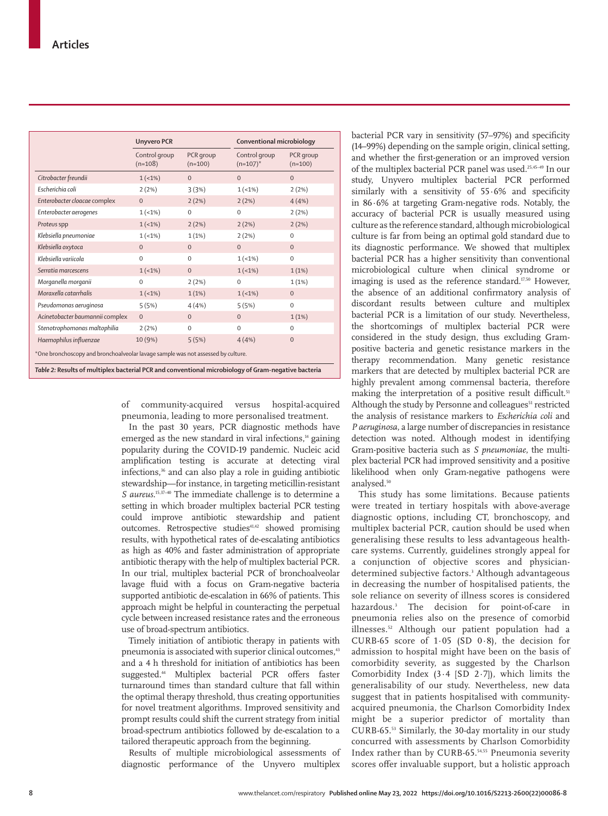| <b>Unyvero PCR</b>         |                        |                                | Conventional microbiology |  |
|----------------------------|------------------------|--------------------------------|---------------------------|--|
| Control group<br>$(n=108)$ | PCR group<br>$(n=100)$ | Control group<br>$(n=107)^{*}$ | PCR group<br>$(n=100)$    |  |
| $1(-1%)$                   | $\mathbf{0}$           | $\mathbf{0}$                   | $\mathbf{O}$              |  |
| 2(2%)                      | 3(3%)                  | $1(-1%)$                       | 2(2%)                     |  |
| $\boldsymbol{0}$           | 2(2%)                  | 2(2%)                          | 4(4%)                     |  |
| $1(-1%)$                   | $\mathbf 0$            | $\mathbf{0}$                   | 2(2%)                     |  |
| $1(-1%)$                   | 2(2%)                  | 2(2%)                          | 2(2%)                     |  |
| $1(-1%)$                   | 1(1%)                  | 2(2%)                          | $\mathbf 0$               |  |
| $\mathbf{0}$               | $\mathbf{0}$           | $\mathbf{0}$                   | $\mathbf{0}$              |  |
| $\mathbf 0$                | $\mathbf 0$            | $1(-1%)$                       | $\mathsf{O}\xspace$       |  |
| $1(-1%)$                   | $\mathbf{0}$           | $1(-1%)$                       | 1(1%)                     |  |
| $\mathbf 0$                | 2(2%)                  | $\Omega$                       | 1(1%)                     |  |
| $1(-1%)$                   | 1(1%)                  | $1(-1%)$                       | $\mathbf{O}$              |  |
| 5(5%)                      | 4(4% )                 | 5(5%)                          | $\boldsymbol{0}$          |  |
| $\mathbf{0}$               | $\Omega$               | $\Omega$                       | 1(1%)                     |  |
| 2(2%)                      | $\mathbf 0$            | $\Omega$                       | $\mathbf 0$               |  |
| 10 (9%)                    | 5(5%)                  | 4(4%)                          | $\mathbf{0}$              |  |
|                            |                        |                                |                           |  |

of community-acquired versus hospital-acquired pneumonia, leading to more personalised treatment.

In the past 30 years, PCR diagnostic methods have emerged as the new standard in viral infections, $<sup>14</sup>$  gaining</sup> popularity during the COVID-19 pandemic. Nucleic acid amplification testing is accurate at detecting viral infections,<sup>36</sup> and can also play a role in guiding antibiotic stewardship—for instance, in targeting meticillin-resistant S aureus.<sup>15,37-40</sup> The immediate challenge is to determine a setting in which broader multiplex bacterial PCR testing could improve antibiotic stewardship and patient outcomes. Retrospective studies<sup>41,42</sup> showed promising results, with hypothetical rates of de-escalating antibiotics as high as 40% and faster administration of appropriate antibiotic therapy with the help of multiplex bacterial PCR. In our trial, multiplex bacterial PCR of bronchoalveolar lavage fluid with a focus on Gram-negative bacteria supported antibiotic de-escalation in 66% of patients. This approach might be helpful in counteracting the perpetual cycle between increased resistance rates and the erroneous use of broad-spectrum antibiotics.

Timely initiation of antibiotic therapy in patients with pneumonia is associated with superior clinical outcomes,<sup>43</sup> and a 4 h threshold for initiation of antibiotics has been suggested.<sup>44</sup> Multiplex bacterial PCR offers faster turnaround times than standard culture that fall within the optimal therapy threshold, thus creating opportunities for novel treatment algorithms. Improved sensitivity and prompt results could shift the current strategy from initial broad-spectrum antibiotics followed by de-escalation to a tailored therapeutic approach from the beginning.

Results of multiple microbiological assessments of diagnostic performance of the Unyvero multiplex bacterial PCR vary in sensitivity (57–97%) and specificity (14–99%) depending on the sample origin, clinical setting, and whether the first-generation or an improved version of the multiplex bacterial PCR panel was used.25,45–49 In our study, Unyvero multiplex bacterial PCR performed similarly with a sensitivity of 55·6% and specificity in 86·6% at targeting Gram-negative rods. Notably, the accuracy of bacterial PCR is usually measured using culture as the reference standard, although microbiological culture is far from being an optimal gold standard due to its diagnostic performance. We showed that multiplex bacterial PCR has a higher sensitivity than conventional microbiological culture when clinical syndrome or imaging is used as the reference standard.<sup>17,50</sup> However, the absence of an additional confirmatory analysis of discordant results between culture and multiplex bacterial PCR is a limitation of our study. Nevertheless, the shortcomings of multiplex bacterial PCR were considered in the study design, thus excluding Grampositive bacteria and genetic resistance markers in the therapy recommendation. Many genetic resistance markers that are detected by multiplex bacterial PCR are highly prevalent among commensal bacteria, therefore making the interpretation of a positive result difficult.<sup>51</sup> Although the study by Personne and colleagues<sup>51</sup> restricted the analysis of resistance markers to *Escherichia coli* and *P aeruginosa*, a large number of discrepancies in resistance detection was noted. Although modest in identifying Gram-positive bacteria such as *S pneumoniae*, the multiplex bacterial PCR had improved sensitivity and a positive likelihood when only Gram-negative pathogens were analysed.<sup>50</sup>

This study has some limitations. Because patients were treated in tertiary hospitals with above-average diagnostic options, including CT, bronchoscopy, and multiplex bacterial PCR, caution should be used when generalising these results to less advantageous healthcare systems. Currently, guidelines strongly appeal for a conjunction of objective scores and physiciandetermined subjective factors.3 Although advantageous in decreasing the number of hospitalised patients, the sole reliance on severity of illness scores is considered hazardous.3 The decision for point-of-care in pneumonia relies also on the presence of comorbid illnesses.52 Although our patient population had a CURB-65 score of 1·05 (SD 0·8), the decision for admission to hospital might have been on the basis of comorbidity severity, as suggested by the Charlson Comorbidity Index (3·4 [SD 2·7]), which limits the generalisability of our study. Nevertheless, new data suggest that in patients hospitalised with communityacquired pneumonia, the Charlson Comorbidity Index might be a superior predictor of mortality than CURB-65.53 Similarly, the 30-day mortality in our study concurred with assessments by Charlson Comorbidity Index rather than by CURB-65.54,55 Pneumonia severity scores offer invaluable support, but a holistic approach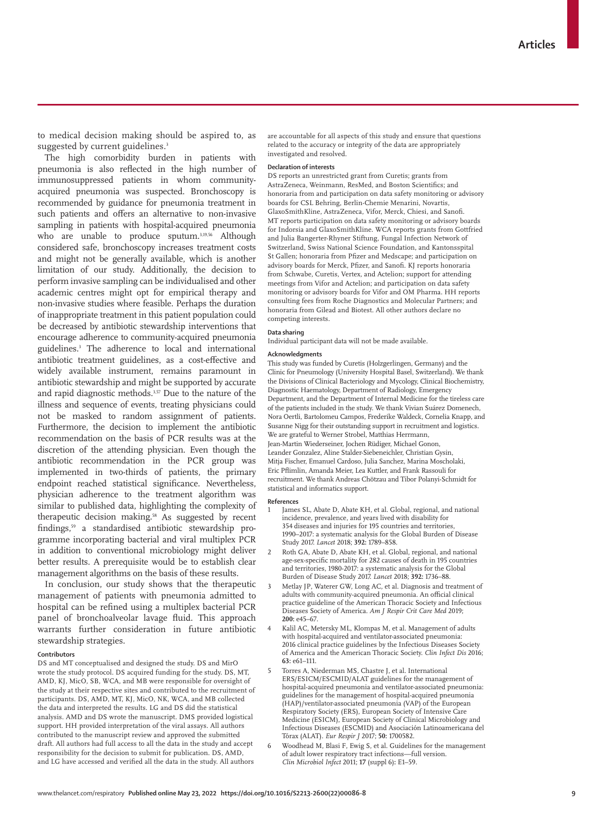to medical decision making should be aspired to, as suggested by current guidelines.<sup>3</sup>

The high comorbidity burden in patients with pneumonia is also reflected in the high number of immunosuppressed patients in whom communityacquired pneumonia was suspected. Bronchoscopy is recommended by guidance for pneumonia treatment in such patients and offers an alternative to non-invasive sampling in patients with hospital-acquired pneumonia who are unable to produce sputum.<sup>3,19,56</sup> Although considered safe, bronchoscopy increases treatment costs and might not be generally available, which is another limitation of our study. Additionally, the decision to perform invasive sampling can be individualised and other academic centres might opt for empirical therapy and non-invasive studies where feasible. Perhaps the duration of inappropriate treatment in this patient population could be decreased by antibiotic stewardship interventions that encourage adherence to community-acquired pneumonia guidelines.3 The adherence to local and international antibiotic treatment guidelines, as a cost-effective and widely available instrument, remains paramount in antibiotic stewardship and might be supported by accurate and rapid diagnostic methods.3,57 Due to the nature of the illness and sequence of events, treating physicians could not be masked to random assignment of patients. Furthermore, the decision to implement the antibiotic recommendation on the basis of PCR results was at the discretion of the attending physician. Even though the antibiotic recommendation in the PCR group was implemented in two-thirds of patients, the primary endpoint reached statistical significance. Nevertheless, physician adherence to the treatment algorithm was similar to published data, highlighting the complexity of therapeutic decision making.<sup>58</sup> As suggested by recent findings,59 a standardised antibiotic stewardship programme incorporating bacterial and viral multiplex PCR in addition to conventional microbiology might deliver better results. A prerequisite would be to establish clear management algorithms on the basis of these results.

In conclusion, our study shows that the therapeutic management of patients with pneumonia admitted to hospital can be refined using a multiplex bacterial PCR panel of bronchoalveolar lavage fluid. This approach warrants further consideration in future antibiotic stewardship strategies.

### **Contributors**

DS and MT conceptualised and designed the study. DS and MirO wrote the study protocol. DS acquired funding for the study. DS, MT, AMD, KJ, MicO, SB, WCA, and MB were responsible for oversight of the study at their respective sites and contributed to the recruitment of participants. DS, AMD, MT, KJ, MicO, NK, WCA, and MB collected the data and interpreted the results. LG and DS did the statistical analysis. AMD and DS wrote the manuscript. DMS provided logistical support. HH provided interpretation of the viral assays. All authors contributed to the manuscript review and approved the submitted draft. All authors had full access to all the data in the study and accept responsibility for the decision to submit for publication. DS, AMD, and LG have accessed and verified all the data in the study. All authors

are accountable for all aspects of this study and ensure that questions related to the accuracy or integrity of the data are appropriately investigated and resolved.

### **Declaration of interests**

DS reports an unrestricted grant from Curetis; grants from AstraZeneca, Weinmann, ResMed, and Boston Scientifics; and honoraria from and participation on data safety monitoring or advisory boards for CSL Behring, Berlin-Chemie Menarini, Novartis, GlaxoSmithKline, AstraZeneca, Vifor, Merck, Chiesi, and Sanofi. MT reports participation on data safety monitoring or advisory boards for Indorsia and GlaxoSmithKline. WCA reports grants from Gottfried and Julia Bangerter-Rhyner Stiftung, Fungal Infection Network of Switzerland, Swiss National Science Foundation, and Kantonsspital St Gallen; honoraria from Pfizer and Medscape; and participation on advisory boards for Merck, Pfizer, and Sanofi. KJ reports honoraria from Schwabe, Curetis, Vertex, and Actelion; support for attending meetings from Vifor and Actelion; and participation on data safety monitoring or advisory boards for Vifor and OM Pharma. HH reports consulting fees from Roche Diagnostics and Molecular Partners; and honoraria from Gilead and Biotest. All other authors declare no competing interests.

### **Data sharing**

Individual participant data will not be made available.

### **Acknowledgments**

This study was funded by Curetis (Holzgerlingen, Germany) and the Clinic for Pneumology (University Hospital Basel, Switzerland). We thank the Divisions of Clinical Bacteriology and Mycology, Clinical Biochemistry, Diagnostic Haematology, Department of Radiology, Emergency Department, and the Department of Internal Medicine for the tireless care of the patients included in the study. We thank Vivian Suárez Domenech, Nora Oertli, Bartolomeu Campos, Frederike Waldeck, Cornelia Knapp, and Susanne Nigg for their outstanding support in recruitment and logistics. We are grateful to Werner Strobel, Matthias Herrmann, Jean-Martin Wiederseiner, Jochen Rüdiger, Michael Gonon, Leander Gonzalez, Aline Stalder-Siebeneichler, Christian Gysin, Mitja Fischer, Emanuel Cardoso, Julia Sanchez, Marina Moscholaki, Eric Pflimlin, Amanda Meier, Lea Kuttler, and Frank Rassouli for recruitment. We thank Andreas Chötzau and Tibor Polanyi-Schmidt for statistical and informatics support.

### **References**

- James SL, Abate D, Abate KH, et al. Global, regional, and national incidence, prevalence, and years lived with disability for 354 diseases and injuries for 195 countries and territories, 1990–2017: a systematic analysis for the Global Burden of Disease Study 2017. *Lancet* 2018; **392:** 1789–858.
- Roth GA, Abate D, Abate KH, et al. Global, regional, and national age-sex-specific mortality for 282 causes of death in 195 countries and territories, 1980-2017: a systematic analysis for the Global Burden of Disease Study 2017. *Lancet* 2018; **392:** 1736–88.
- 3 Metlay JP, Waterer GW, Long AC, et al. Diagnosis and treatment of adults with community-acquired pneumonia. An official clinical practice guideline of the American Thoracic Society and Infectious Diseases Society of America. *Am J Respir Crit Care Med* 2019; **200:** e45–67.
- Kalil AC, Metersky ML, Klompas M, et al. Management of adults with hospital-acquired and ventilator-associated pneumonia: 2016 clinical practice guidelines by the Infectious Diseases Society of America and the American Thoracic Society. *Clin Infect Dis* 2016; **63:** e61–111.
- 5 Torres A, Niederman MS, Chastre J, et al. International ERS/ESICM/ESCMID/ALAT guidelines for the management of hospital-acquired pneumonia and ventilator-associated pneumonia: guidelines for the management of hospital-acquired pneumonia (HAP)/ventilator-associated pneumonia (VAP) of the European Respiratory Society (ERS), European Society of Intensive Care Medicine (ESICM), European Society of Clinical Microbiology and Infectious Diseases (ESCMID) and Asociación Latinoamericana del Tórax (ALAT). *Eur Respir J* 2017; **50:** 1700582.
- 6 Woodhead M, Blasi F, Ewig S, et al. Guidelines for the management of adult lower respiratory tract infections—full version. *Clin Microbiol Infect* 2011; **17** (suppl 6)**:** E1–59.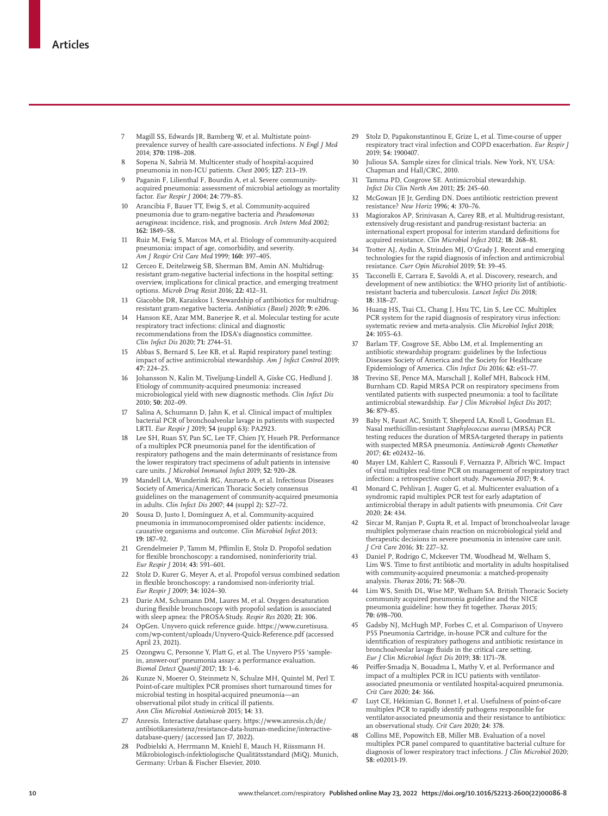- 7 Magill SS, Edwards JR, Bamberg W, et al. Multistate pointprevalence survey of health care-associated infections. *N Engl J Med* 2014; **370:** 1198–208.
- 8 Sopena N, Sabrià M. Multicenter study of hospital-acquired pneumonia in non-ICU patients. *Chest* 2005; **127:** 213–19.
- 9 Paganin F, Lilienthal F, Bourdin A, et al. Severe communityacquired pneumonia: assessment of microbial aetiology as mortality factor. *Eur Respir J* 2004; **24:** 779–85.
- 10 Arancibia F, Bauer TT, Ewig S, et al. Community-acquired pneumonia due to gram-negative bacteria and *Pseudomonas aeruginosa*: incidence, risk, and prognosis. *Arch Intern Med* 2002; **162:** 1849–58.
- 11 Ruiz M, Ewig S, Marcos MA, et al. Etiology of community-acquired pneumonia: impact of age, comorbidity, and severity. *Am J Respir Crit Care Med* 1999; **160:** 397–405.
- 12 Cerceo E, Deitelzweig SB, Sherman BM, Amin AN. Multidrugresistant gram-negative bacterial infections in the hospital setting: overview, implications for clinical practice, and emerging treatment options. *Microb Drug Resist* 2016; **22:** 412–31.
- 13 Giacobbe DR, Karaiskos I. Stewardship of antibiotics for multidrugresistant gram-negative bacteria. *Antibiotics (Basel)* 2020; **9:** e206.
- 14 Hanson KE, Azar MM, Banerjee R, et al. Molecular testing for acute respiratory tract infections: clinical and diagnostic recommendations from the IDSA's diagnostics committee. *Clin Infect Dis* 2020; **71:** 2744–51.
- 15 Abbas S, Bernard S, Lee KB, et al. Rapid respiratory panel testing: impact of active antimicrobial stewardship. *Am J Infect Control* 2019; **47:** 224–25.
- 16 Johansson N, Kalin M, Tiveljung-Lindell A, Giske CG, Hedlund J. Etiology of community-acquired pneumonia: increased microbiological yield with new diagnostic methods. *Clin Infect Dis* 2010; **50:** 202–09.
- 17 Salina A, Schumann D, Jahn K, et al. Clinical impact of multiplex bacterial PCR of bronchoalveolar lavage in patients with suspected LRTI. *Eur Respir J* 2019; **54** (suppl 63)**:** PA2923.
- 18 Lee SH, Ruan SY, Pan SC, Lee TF, Chien JY, Hsueh PR. Performance of a multiplex PCR pneumonia panel for the identification of respiratory pathogens and the main determinants of resistance from the lower respiratory tract specimens of adult patients in intensive care units. *J Microbiol Immunol Infect* 2019; **52:** 920–28.
- 19 Mandell LA, Wunderink RG, Anzueto A, et al. Infectious Diseases Society of America/American Thoracic Society consensus guidelines on the management of community-acquired pneumonia in adults. *Clin Infect Dis* 2007; **44** (suppl 2)**:** S27–72.
- 20 Sousa D, Justo I, Domínguez A, et al. Community-acquired pneumonia in immunocompromised older patients: incidence, causative organisms and outcome. *Clin Microbiol Infect* 2013; **19:** 187–92.
- 21 Grendelmeier P, Tamm M, Pflimlin E, Stolz D. Propofol sedation for flexible bronchoscopy: a randomised, noninferiority trial. *Eur Respir J* 2014; **43:** 591–601.
- 22 Stolz D, Kurer G, Meyer A, et al. Propofol versus combined sedation in flexible bronchoscopy: a randomised non-inferiority trial. *Eur Respir J* 2009; **34:** 1024–30.
- 23 Darie AM, Schumann DM, Laures M, et al. Oxygen desaturation during flexible bronchoscopy with propofol sedation is associated with sleep apnea: the PROSA-Study. *Respir Res* 2020; **21:** 306.
- 24 OpGen. Unyvero quick reference guide. https://www.curetisusa. com/wp-content/uploads/Unyvero-Quick-Reference.pdf (accessed April 23, 2021)
- 25 Ozongwu C, Personne Y, Platt G, et al. The Unyvero P55 'samplein, answer-out' pneumonia assay: a performance evaluation. *Biomol Detect Quantif* 2017; **13:** 1–6.
- 26 Kunze N, Moerer O, Steinmetz N, Schulze MH, Quintel M, Perl T. Point-of-care multiplex PCR promises short turnaround times for microbial testing in hospital-acquired pneumonia—an observational pilot study in critical ill patients. *Ann Clin Microbiol Antimicrob* 2015; **14:** 33.
- 27 Anresis. Interactive database query. https://www.anresis.ch/de/ antibiotikaresistenz/resistance-data-human-medicine/interactivedatabase-query/ (accessed Jan 17, 2022).
- 28 Podbielski A, Herrmann M, Kniehl E, Mauch H, Riissmann H. Mikrobiologisch-infektiologische Qualitätsstandard (MiQ). Munich, Germany: Urban & Fischer Elsevier, 2010.
- 29 Stolz D, Papakonstantinou E, Grize L, et al. Time-course of upper respiratory tract viral infection and COPD exacerbation. *Eur Respir J* 2019; **54:** 1900407.
- 30 Julious SA. Sample sizes for clinical trials. New York, NY, USA: Chapman and Hall/CRC, 2010.
- 31 Tamma PD, Cosgrove SE. Antimicrobial stewardship. *Infect Dis Clin North Am* 2011; **25:** 245–60.
- 32 McGowan JE Jr, Gerding DN. Does antibiotic restriction prevent resistance? *New Horiz* 1996; **4:** 370–76.
- 33 Magiorakos AP, Srinivasan A, Carey RB, et al. Multidrug-resistant, extensively drug-resistant and pandrug-resistant bacteria: an international expert proposal for interim standard definitions for acquired resistance. *Clin Microbiol Infect* 2012; **18:** 268–81.
- 34 Trotter AJ, Aydin A, Strinden MJ, O'Grady J. Recent and emerging technologies for the rapid diagnosis of infection and antimicrobial resistance. *Curr Opin Microbiol* 2019; **51:** 39–45.
- 35 Tacconelli E, Carrara E, Savoldi A, et al. Discovery, research, and development of new antibiotics: the WHO priority list of antibioticresistant bacteria and tuberculosis. *Lancet Infect Dis* 2018; **18:** 318–27.
- Huang HS, Tsai CL, Chang J, Hsu TC, Lin S, Lee CC. Multiplex PCR system for the rapid diagnosis of respiratory virus infection: systematic review and meta-analysis. *Clin Microbiol Infect* 2018; **24:** 1055–63.
- 37 Barlam TF, Cosgrove SE, Abbo LM, et al. Implementing an antibiotic stewardship program: guidelines by the Infectious Diseases Society of America and the Society for Healthcare Epidemiology of America. *Clin Infect Dis* 2016; **62:** e51–77.
- Trevino SE, Pence MA, Marschall J, Kollef MH, Babcock HM, Burnham CD. Rapid MRSA PCR on respiratory specimens from ventilated patients with suspected pneumonia: a tool to facilitate antimicrobial stewardship. *Eur J Clin Microbiol Infect Dis* 2017; **36:** 879–85.
- 39 Baby N, Faust AC, Smith T, Sheperd LA, Knoll L, Goodman EL. Nasal methicillin-resistant *Staphylococcus aureus* (MRSA) PCR testing reduces the duration of MRSA-targeted therapy in patients with suspected MRSA pneumonia. *Antimicrob Agents Chemother* 2017; **61:** e02432–16.
- 40 Mayer LM, Kahlert C, Rassouli F, Vernazza P, Albrich WC. Impact of viral multiplex real-time PCR on management of respiratory tract infection: a retrospective cohort study. *Pneumonia* 2017; **9:** 4.
- 41 Monard C, Pehlivan J, Auger G, et al. Multicenter evaluation of a syndromic rapid multiplex PCR test for early adaptation of antimicrobial therapy in adult patients with pneumonia. *Crit Care* 2020; **24:** 434.
- 42 Sircar M, Ranjan P, Gupta R, et al. Impact of bronchoalveolar lavage multiplex polymerase chain reaction on microbiological yield and therapeutic decisions in severe pneumonia in intensive care unit. *J Crit Care* 2016; **31:** 227–32.
- 43 Daniel P, Rodrigo C, Mckeever TM, Woodhead M, Welham S, Lim WS. Time to first antibiotic and mortality in adults hospitalised with community-acquired pneumonia: a matched-propensity analysis. *Thorax* 2016; **71:** 568–70.
- Lim WS, Smith DL, Wise MP, Welham SA. British Thoracic Society community acquired pneumonia guideline and the NICE pneumonia guideline: how they fit together. *Thorax* 2015; **70:** 698–700.
- Gadsby NJ, McHugh MP, Forbes C, et al. Comparison of Unyvero P55 Pneumonia Cartridge, in-house PCR and culture for the identification of respiratory pathogens and antibiotic resistance in bronchoalveolar lavage fluids in the critical care setting. *Eur J Clin Microbiol Infect Dis* 2019; **38:** 1171–78.
- Peiffer-Smadja N, Bouadma L, Mathy V, et al. Performance and impact of a multiplex PCR in ICU patients with ventilatorassociated pneumonia or ventilated hospital-acquired pneumonia. *Crit Care* 2020; **24:** 366.
- Luyt CE, Hékimian G, Bonnet I, et al. Usefulness of point-of-care multiplex PCR to rapidly identify pathogens responsible for ventilator-associated pneumonia and their resistance to antibiotics: an observational study. *Crit Care* 2020; **24:** 378.
- Collins ME, Popowitch EB, Miller MB. Evaluation of a novel multiplex PCR panel compared to quantitative bacterial culture for diagnosis of lower respiratory tract infections. *J Clin Microbiol* 2020; **58:** e02013-19.